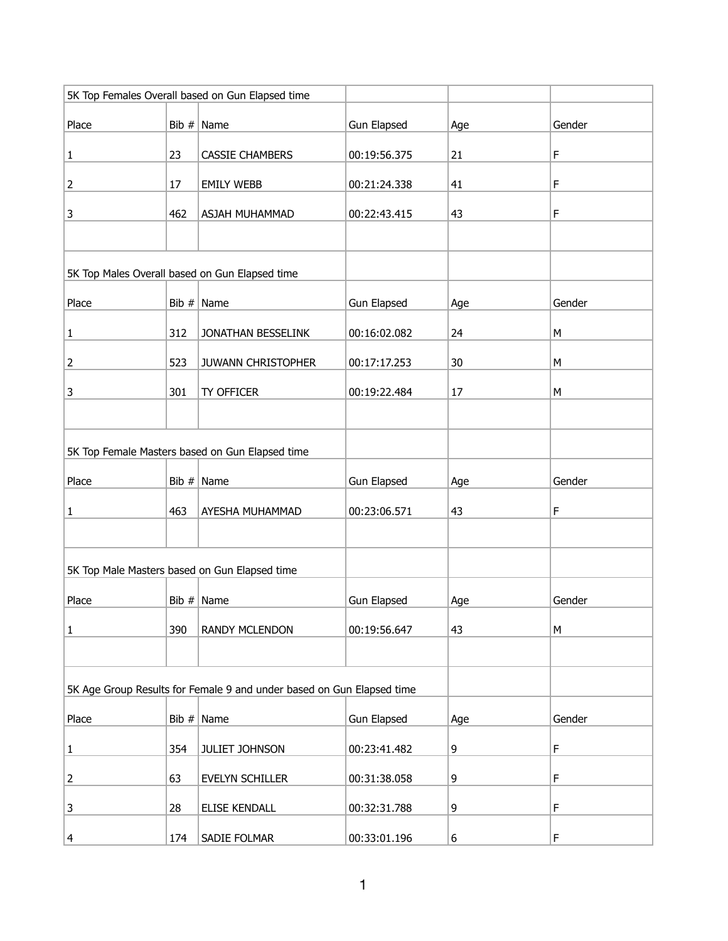|                |       | 5K Top Females Overall based on Gun Elapsed time                      |                    |     |           |
|----------------|-------|-----------------------------------------------------------------------|--------------------|-----|-----------|
| Place          |       | Bib $#$ Name                                                          | Gun Elapsed        | Age | Gender    |
| $\mathbf{1}$   | 23    | <b>CASSIE CHAMBERS</b>                                                | 00:19:56.375       | 21  | F         |
| $\overline{2}$ | 17    | <b>EMILY WEBB</b>                                                     | 00:21:24.338       | 41  | F         |
| 3              | 462   | ASJAH MUHAMMAD                                                        | 00:22:43.415       | 43  | F         |
|                |       |                                                                       |                    |     |           |
|                |       | 5K Top Males Overall based on Gun Elapsed time                        |                    |     |           |
| Place          |       | Bib $#$ Name                                                          | Gun Elapsed        | Age | Gender    |
| $\mathbf{1}$   | 312   | JONATHAN BESSELINK                                                    | 00:16:02.082       | 24  | М         |
| $\overline{2}$ | 523   | JUWANN CHRISTOPHER                                                    | 00:17:17.253       | 30  | М         |
| $\mathbf{3}$   | 301   | TY OFFICER                                                            | 00:19:22.484       | 17  | M         |
|                |       |                                                                       |                    |     |           |
|                |       | 5K Top Female Masters based on Gun Elapsed time                       |                    |     |           |
| Place          |       | Bib $#$ Name                                                          | Gun Elapsed        | Age | Gender    |
| 1              | 463   | AYESHA MUHAMMAD                                                       | 00:23:06.571       | 43  | F         |
|                |       |                                                                       |                    |     |           |
|                |       | 5K Top Male Masters based on Gun Elapsed time                         |                    |     |           |
| Place          | Bib # | Name                                                                  | <b>Gun Elapsed</b> | Age | Gender    |
| $\mathbf 1$    | 390   | RANDY MCLENDON                                                        | 00:19:56.647       | 43  | ${\sf M}$ |
|                |       |                                                                       |                    |     |           |
|                |       | 5K Age Group Results for Female 9 and under based on Gun Elapsed time |                    |     |           |
| Place          |       | Bib $#$ Name                                                          | Gun Elapsed        | Age | Gender    |
| $\mathbf{1}$   | 354   | JULIET JOHNSON                                                        | 00:23:41.482       | 9   | F         |
| $\mathbf 2$    | 63    | EVELYN SCHILLER                                                       | 00:31:38.058       | 9   | F         |
| 3              | 28    | ELISE KENDALL                                                         | 00:32:31.788       | 9   | F         |
| $\overline{4}$ | 174   | SADIE FOLMAR                                                          | 00:33:01.196       | 6   | F         |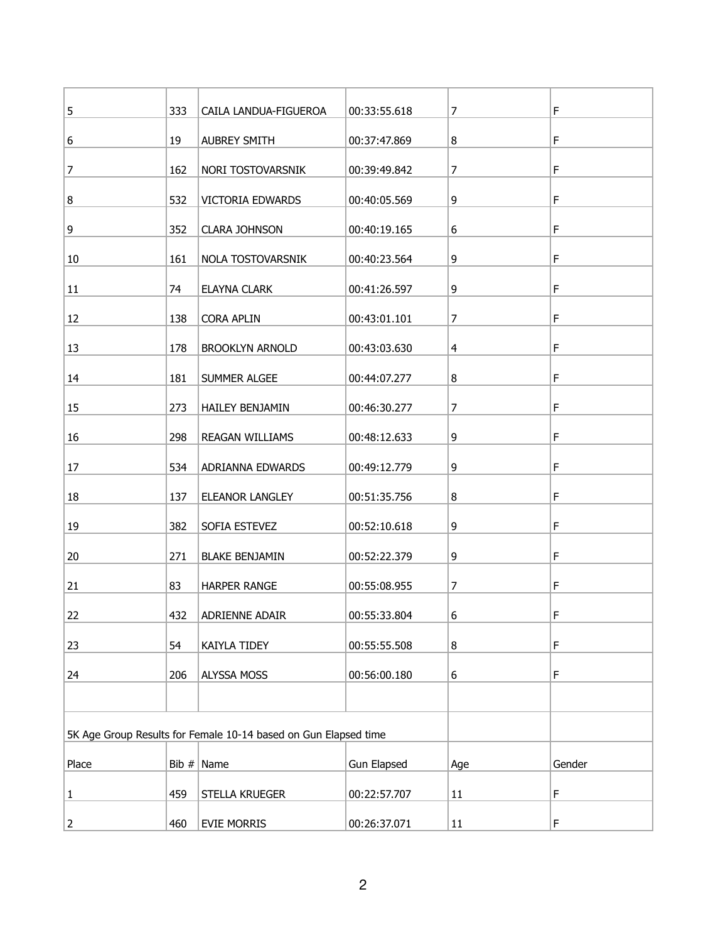| 5            | 333 | CAILA LANDUA-FIGUEROA                                           | 00:33:55.618       | 7              | F      |
|--------------|-----|-----------------------------------------------------------------|--------------------|----------------|--------|
| 6            | 19  | <b>AUBREY SMITH</b>                                             | 00:37:47.869       | 8              | F      |
| 7            | 162 | NORI TOSTOVARSNIK                                               | 00:39:49.842       | 7              | F      |
| 8            | 532 | <b>VICTORIA EDWARDS</b>                                         | 00:40:05.569       | 9              | F      |
|              |     |                                                                 |                    | 6              | F      |
| 9            | 352 | <b>CLARA JOHNSON</b>                                            | 00:40:19.165       |                |        |
| 10           | 161 | NOLA TOSTOVARSNIK                                               | 00:40:23.564       | 9              | F      |
| 11           | 74  | <b>ELAYNA CLARK</b>                                             | 00:41:26.597       | 9              | F      |
| 12           | 138 | <b>CORA APLIN</b>                                               | 00:43:01.101       | 7              | F      |
| 13           | 178 | <b>BROOKLYN ARNOLD</b>                                          | 00:43:03.630       | $\overline{4}$ | F      |
| 14           | 181 | SUMMER ALGEE                                                    | 00:44:07.277       | 8              | F      |
| 15           | 273 | HAILEY BENJAMIN                                                 | 00:46:30.277       | $\overline{7}$ | F      |
| 16           | 298 | REAGAN WILLIAMS                                                 | 00:48:12.633       | 9              | F      |
| 17           | 534 | ADRIANNA EDWARDS                                                | 00:49:12.779       | 9              | F      |
|              |     |                                                                 |                    |                |        |
| 18           | 137 | ELEANOR LANGLEY                                                 | 00:51:35.756       | 8              | F      |
| 19           | 382 | SOFIA ESTEVEZ                                                   | 00:52:10.618       | 9              | F      |
| 20           | 271 | <b>BLAKE BENJAMIN</b>                                           | 00:52:22.379       | 9              | F      |
| 21           | 83  | <b>HARPER RANGE</b>                                             | 00:55:08.955       | $\overline{7}$ | F      |
| 22           | 432 | ADRIENNE ADAIR                                                  | 00:55:33.804       | 6              | F      |
| 23           | 54  | KAIYLA TIDEY                                                    | 00:55:55.508       | 8              | F      |
| 24           | 206 | ALYSSA MOSS                                                     | 00:56:00.180       | 6              | F      |
|              |     |                                                                 |                    |                |        |
|              |     | 5K Age Group Results for Female 10-14 based on Gun Elapsed time |                    |                |        |
| Place        |     | Bib $#$ Name                                                    | <b>Gun Elapsed</b> | Age            | Gender |
| $\mathbf{1}$ | 459 | STELLA KRUEGER                                                  | 00:22:57.707       | 11             | F      |
|              |     |                                                                 |                    |                |        |
| $\mathbf 2$  | 460 | <b>EVIE MORRIS</b>                                              | 00:26:37.071       | $11\,$         | F      |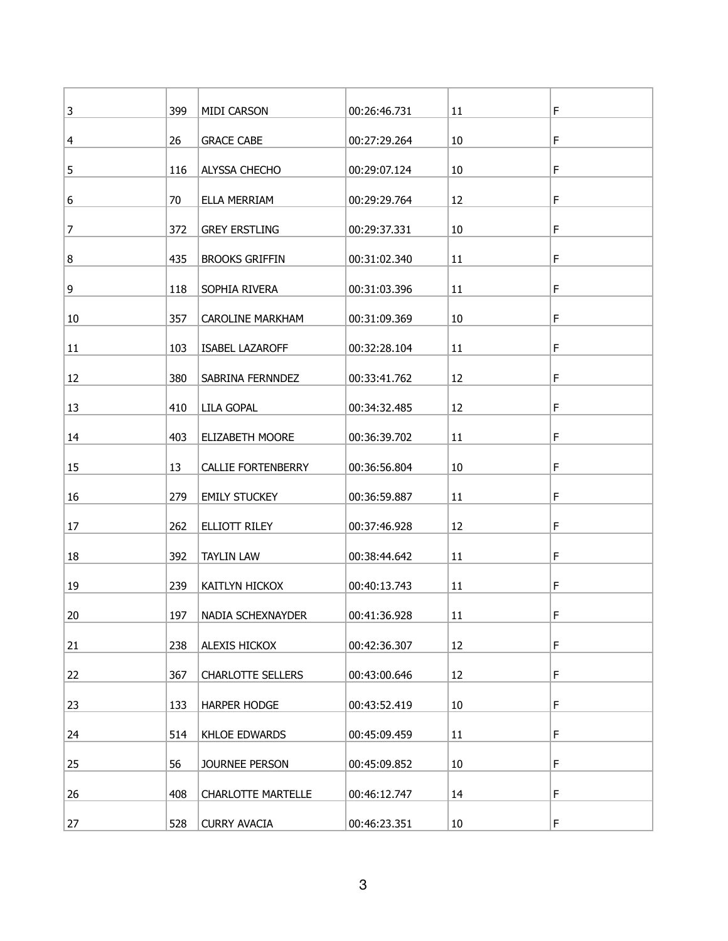| 3              | 399 | MIDI CARSON               | 00:26:46.731 | 11     | F |
|----------------|-----|---------------------------|--------------|--------|---|
| 4              | 26  | <b>GRACE CABE</b>         | 00:27:29.264 | 10     | F |
| 5              | 116 | ALYSSA CHECHO             | 00:29:07.124 | 10     | F |
| 6              | 70  | ELLA MERRIAM              | 00:29:29.764 | 12     | F |
| $\overline{7}$ | 372 | <b>GREY ERSTLING</b>      | 00:29:37.331 | 10     | F |
| 8              | 435 | <b>BROOKS GRIFFIN</b>     | 00:31:02.340 | 11     | F |
|                |     |                           |              |        |   |
| 9              | 118 | SOPHIA RIVERA             | 00:31:03.396 | 11     | F |
| 10             | 357 | CAROLINE MARKHAM          | 00:31:09.369 | $10\,$ | F |
| 11             | 103 | <b>ISABEL LAZAROFF</b>    | 00:32:28.104 | 11     | F |
| 12             | 380 | SABRINA FERNNDEZ          | 00:33:41.762 | 12     | F |
| 13             | 410 | LILA GOPAL                | 00:34:32.485 | 12     | F |
| 14             | 403 | ELIZABETH MOORE           | 00:36:39.702 | 11     | F |
| 15             | 13  | <b>CALLIE FORTENBERRY</b> | 00:36:56.804 | $10\,$ | F |
| 16             | 279 | <b>EMILY STUCKEY</b>      | 00:36:59.887 | 11     | F |
| 17             | 262 | ELLIOTT RILEY             | 00:37:46.928 | 12     | F |
| 18             | 392 | <b>TAYLIN LAW</b>         | 00:38:44.642 | 11     | F |
| 19             | 239 | KAITLYN HICKOX            | 00:40:13.743 | 11     | F |
| 20             | 197 | NADIA SCHEXNAYDER         | 00:41:36.928 | 11     | F |
| 21             | 238 | ALEXIS HICKOX             | 00:42:36.307 | 12     | F |
| 22             | 367 | <b>CHARLOTTE SELLERS</b>  | 00:43:00.646 | 12     | F |
| 23             | 133 | <b>HARPER HODGE</b>       | 00:43:52.419 | $10\,$ | F |
| 24             | 514 | KHLOE EDWARDS             | 00:45:09.459 | 11     | F |
|                |     |                           |              |        |   |
| 25             | 56  | JOURNEE PERSON            | 00:45:09.852 | $10\,$ | F |
| 26             | 408 | <b>CHARLOTTE MARTELLE</b> | 00:46:12.747 | 14     | F |
| 27             | 528 | <b>CURRY AVACIA</b>       | 00:46:23.351 | 10     | F |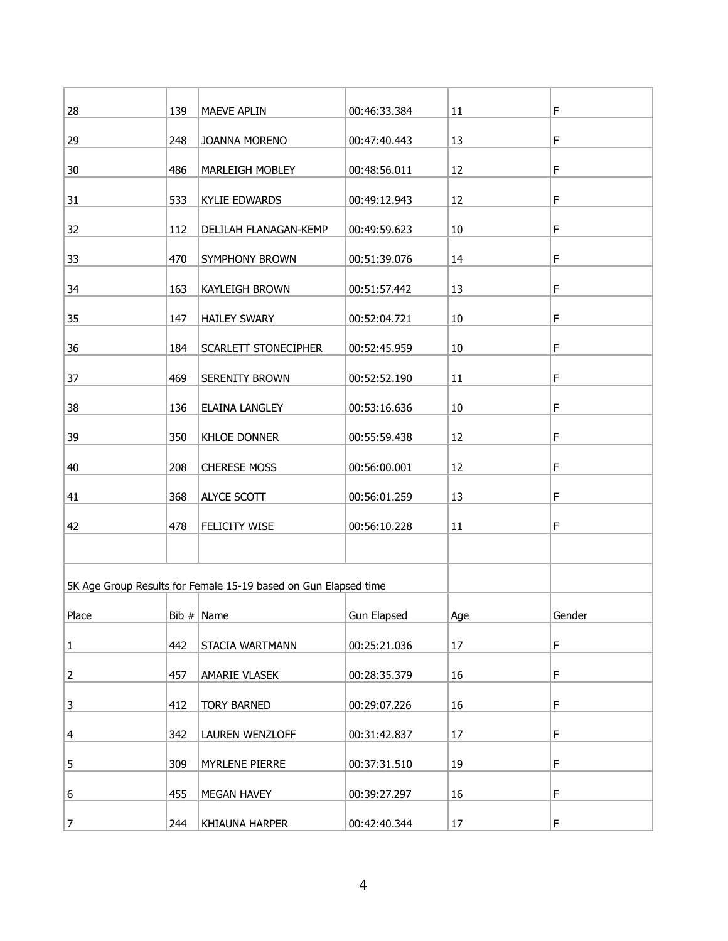| 28             | 139 | MAEVE APLIN                                                     | 00:46:33.384       | 11     | F      |
|----------------|-----|-----------------------------------------------------------------|--------------------|--------|--------|
| 29             | 248 | JOANNA MORENO                                                   | 00:47:40.443       | 13     | F      |
| 30             | 486 | MARLEIGH MOBLEY                                                 | 00:48:56.011       | 12     | F      |
| 31             | 533 | <b>KYLIE EDWARDS</b>                                            | 00:49:12.943       | 12     | F      |
| 32             | 112 | DELILAH FLANAGAN-KEMP                                           | 00:49:59.623       | $10\,$ | F      |
| 33             | 470 | SYMPHONY BROWN                                                  | 00:51:39.076       | 14     | F      |
| 34             | 163 | KAYLEIGH BROWN                                                  | 00:51:57.442       | 13     | F      |
| 35             | 147 | <b>HAILEY SWARY</b>                                             | 00:52:04.721       | $10\,$ | F      |
| 36             | 184 | SCARLETT STONECIPHER                                            | 00:52:45.959       | $10\,$ | F      |
| 37             | 469 | SERENITY BROWN                                                  | 00:52:52.190       | 11     | F      |
| 38             | 136 | <b>ELAINA LANGLEY</b>                                           | 00:53:16.636       | $10\,$ | F      |
| 39             | 350 | <b>KHLOE DONNER</b>                                             | 00:55:59.438       | 12     | F      |
| 40             | 208 | <b>CHERESE MOSS</b>                                             | 00:56:00.001       | 12     | F      |
| 41             | 368 | ALYCE SCOTT                                                     | 00:56:01.259       | 13     | F      |
| 42             | 478 | FELICITY WISE                                                   | 00:56:10.228       | 11     | F      |
|                |     |                                                                 |                    |        |        |
|                |     | 5K Age Group Results for Female 15-19 based on Gun Elapsed time |                    |        |        |
| Place          |     | Bib $#$ Name                                                    | <b>Gun Elapsed</b> | Age    | Gender |
| $\mathbf{1}$   | 442 | STACIA WARTMANN                                                 | 00:25:21.036       | 17     | F      |
| $\overline{2}$ | 457 | AMARIE VLASEK                                                   | 00:28:35.379       | 16     | F      |
| 3              | 412 | <b>TORY BARNED</b>                                              | 00:29:07.226       | 16     | F      |
| 4              | 342 | LAUREN WENZLOFF                                                 | 00:31:42.837       | 17     | F      |
| 5              | 309 | MYRLENE PIERRE                                                  | 00:37:31.510       | 19     | F      |
| 6              | 455 | MEGAN HAVEY                                                     | 00:39:27.297       | 16     | F      |
| 7              | 244 | KHIAUNA HARPER                                                  | 00:42:40.344       | 17     | F      |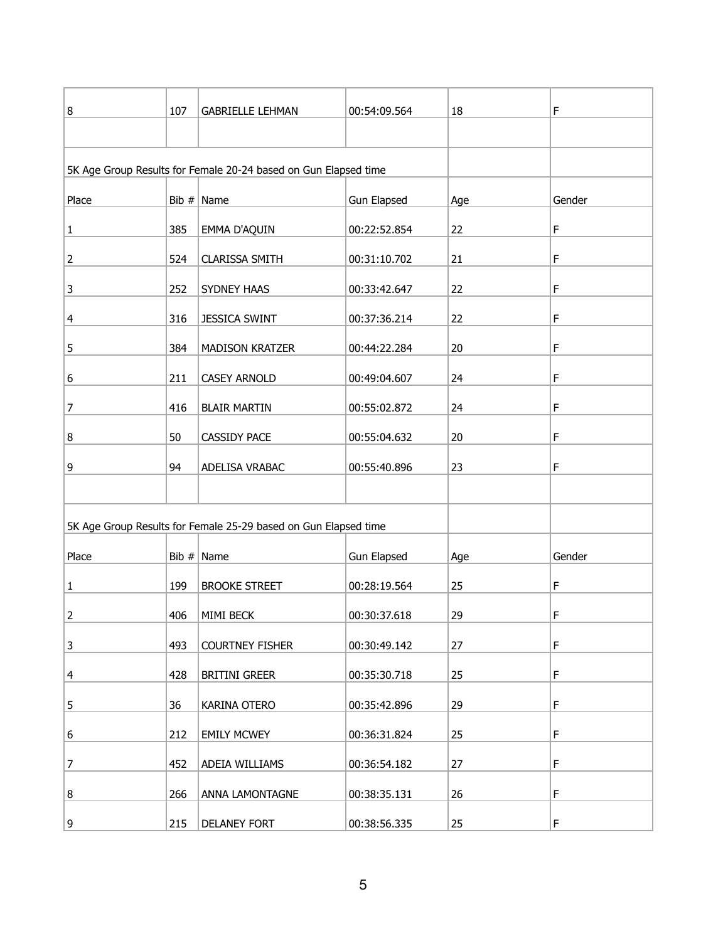| 8              | 107 | <b>GABRIELLE LEHMAN</b>                                         | 00:54:09.564       | 18  | F      |
|----------------|-----|-----------------------------------------------------------------|--------------------|-----|--------|
|                |     |                                                                 |                    |     |        |
|                |     | 5K Age Group Results for Female 20-24 based on Gun Elapsed time |                    |     |        |
| Place          |     | Bib $#$ Name                                                    | <b>Gun Elapsed</b> |     | Gender |
|                |     |                                                                 |                    | Age |        |
| $\mathbf 1$    | 385 | EMMA D'AQUIN                                                    | 00:22:52.854       | 22  | F      |
| $\overline{2}$ | 524 | <b>CLARISSA SMITH</b>                                           | 00:31:10.702       | 21  | F      |
| 3              | 252 | SYDNEY HAAS                                                     | 00:33:42.647       | 22  | F      |
| 4              | 316 | <b>JESSICA SWINT</b>                                            | 00:37:36.214       | 22  | F      |
| 5              | 384 | <b>MADISON KRATZER</b>                                          | 00:44:22.284       | 20  | F      |
| 6              | 211 | <b>CASEY ARNOLD</b>                                             | 00:49:04.607       | 24  | F      |
| 7              | 416 | <b>BLAIR MARTIN</b>                                             | 00:55:02.872       | 24  | F      |
| 8              | 50  | CASSIDY PACE                                                    | 00:55:04.632       | 20  | F      |
| 9              | 94  | ADELISA VRABAC                                                  | 00:55:40.896       | 23  | F      |
|                |     |                                                                 |                    |     |        |
|                |     | 5K Age Group Results for Female 25-29 based on Gun Elapsed time |                    |     |        |
| Place          |     | Bib $#$ Name                                                    | <b>Gun Elapsed</b> | Age | Gender |
|                |     |                                                                 |                    |     |        |
| $\mathbf{1}$   | 199 | <b>BROOKE STREET</b>                                            | 00:28:19.564       | 25  | F      |
| $\overline{2}$ | 406 | MIMI BECK                                                       | 00:30:37.618       | 29  | F      |
| 3              | 493 | <b>COURTNEY FISHER</b>                                          | 00:30:49.142       | 27  | F      |
| 4              | 428 | <b>BRITINI GREER</b>                                            | 00:35:30.718       | 25  | F      |
| 5              | 36  | KARINA OTERO                                                    | 00:35:42.896       | 29  | F      |
| 6              | 212 | <b>EMILY MCWEY</b>                                              | 00:36:31.824       | 25  | F      |
| 7              | 452 | ADEIA WILLIAMS                                                  | 00:36:54.182       | 27  | F      |
| 8              | 266 | ANNA LAMONTAGNE                                                 | 00:38:35.131       | 26  | F      |
| 9              | 215 | <b>DELANEY FORT</b>                                             | 00:38:56.335       | 25  | F      |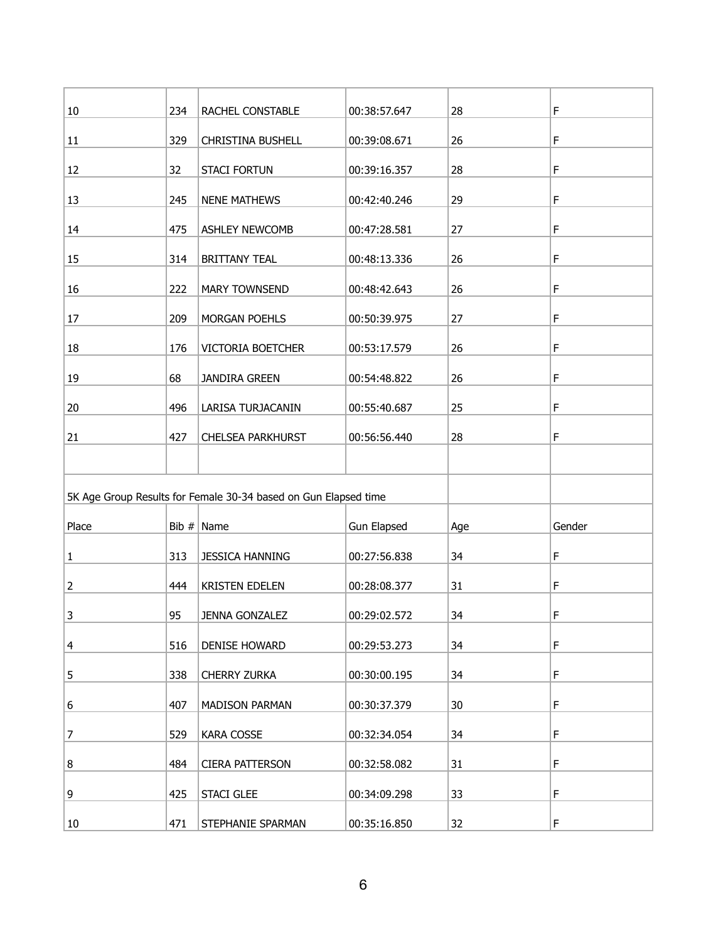| $10\,$ | 234 | RACHEL CONSTABLE                                                | 00:38:57.647       | 28  | F      |
|--------|-----|-----------------------------------------------------------------|--------------------|-----|--------|
| 11     | 329 | <b>CHRISTINA BUSHELL</b>                                        | 00:39:08.671       | 26  | F      |
| 12     | 32  | <b>STACI FORTUN</b>                                             | 00:39:16.357       | 28  | F      |
|        |     |                                                                 |                    |     |        |
| 13     | 245 | <b>NENE MATHEWS</b>                                             | 00:42:40.246       | 29  | F      |
| 14     | 475 | ASHLEY NEWCOMB                                                  | 00:47:28.581       | 27  | F      |
| 15     | 314 | <b>BRITTANY TEAL</b>                                            | 00:48:13.336       | 26  | F      |
| 16     | 222 | MARY TOWNSEND                                                   | 00:48:42.643       | 26  | F      |
| 17     | 209 | MORGAN POEHLS                                                   | 00:50:39.975       | 27  | F      |
| 18     | 176 | VICTORIA BOETCHER                                               | 00:53:17.579       | 26  | F      |
|        |     |                                                                 |                    |     |        |
| 19     | 68  | <b>JANDIRA GREEN</b>                                            | 00:54:48.822       | 26  | F      |
| 20     | 496 | LARISA TURJACANIN                                               | 00:55:40.687       | 25  | F      |
| 21     | 427 | <b>CHELSEA PARKHURST</b>                                        | 00:56:56.440       | 28  | F      |
|        |     |                                                                 |                    |     |        |
|        |     | 5K Age Group Results for Female 30-34 based on Gun Elapsed time |                    |     |        |
|        |     |                                                                 |                    |     |        |
| Place  |     | Bib $#$ Name                                                    | <b>Gun Elapsed</b> | Age | Gender |
| 1      | 313 | <b>JESSICA HANNING</b>                                          | 00:27:56.838       | 34  | F      |
| 2      | 444 | <b>KRISTEN EDELEN</b>                                           | 00:28:08.377       | 31  | F      |
| 3      | 95  | JENNA GONZALEZ                                                  | 00:29:02.572       | 34  | F      |
| 4      | 516 | <b>DENISE HOWARD</b>                                            | 00:29:53.273       | 34  | F      |
| 5      | 338 | CHERRY ZURKA                                                    | 00:30:00.195       | 34  | F      |
|        |     |                                                                 |                    |     |        |
| 6      | 407 | <b>MADISON PARMAN</b>                                           | 00:30:37.379       | 30  | F      |
| 7      | 529 | <b>KARA COSSE</b>                                               | 00:32:34.054       | 34  | F      |
| 8      | 484 | <b>CIERA PATTERSON</b>                                          | 00:32:58.082       | 31  | F      |
| 9      | 425 | <b>STACI GLEE</b>                                               | 00:34:09.298       | 33  | F      |
| 10     | 471 | STEPHANIE SPARMAN                                               | 00:35:16.850       | 32  | F      |
|        |     |                                                                 |                    |     |        |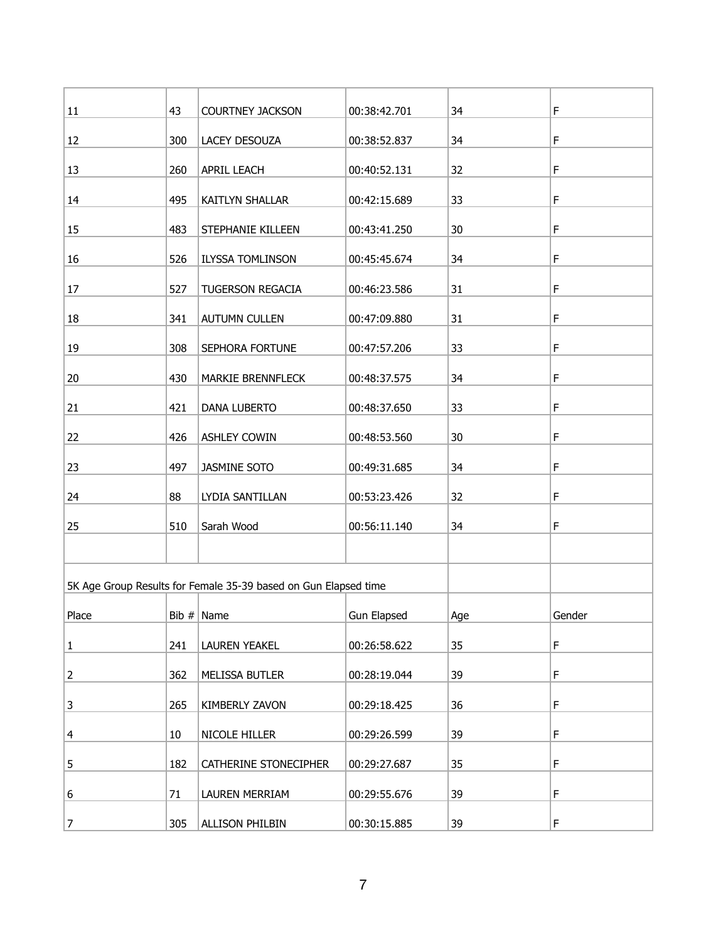| 11             | 43  | <b>COURTNEY JACKSON</b>                                         | 00:38:42.701 | 34  | F      |
|----------------|-----|-----------------------------------------------------------------|--------------|-----|--------|
| 12             | 300 | LACEY DESOUZA                                                   | 00:38:52.837 | 34  | F      |
| 13             | 260 | APRIL LEACH                                                     | 00:40:52.131 | 32  | F      |
|                |     |                                                                 |              |     |        |
| 14             | 495 | KAITLYN SHALLAR                                                 | 00:42:15.689 | 33  | F      |
| 15             | 483 | STEPHANIE KILLEEN                                               | 00:43:41.250 | 30  | F      |
| 16             | 526 | <b>ILYSSA TOMLINSON</b>                                         | 00:45:45.674 | 34  | F      |
| 17             | 527 | TUGERSON REGACIA                                                | 00:46:23.586 | 31  | F      |
| 18             | 341 | <b>AUTUMN CULLEN</b>                                            | 00:47:09.880 | 31  | F      |
| 19             | 308 | SEPHORA FORTUNE                                                 | 00:47:57.206 | 33  | F      |
| 20             | 430 | MARKIE BRENNFLECK                                               | 00:48:37.575 | 34  | F      |
| 21             | 421 | DANA LUBERTO                                                    | 00:48:37.650 | 33  | F      |
| 22             | 426 | <b>ASHLEY COWIN</b>                                             | 00:48:53.560 | 30  | F      |
| 23             | 497 | JASMINE SOTO                                                    | 00:49:31.685 | 34  | F      |
| 24             | 88  | LYDIA SANTILLAN                                                 | 00:53:23.426 | 32  | F      |
| 25             | 510 | Sarah Wood                                                      | 00:56:11.140 | 34  | F      |
|                |     |                                                                 |              |     |        |
|                |     | 5K Age Group Results for Female 35-39 based on Gun Elapsed time |              |     |        |
|                |     |                                                                 |              |     |        |
| Place          |     | Bib $#$ Name                                                    | Gun Elapsed  | Age | Gender |
| $\mathbf 1$    | 241 | LAUREN YEAKEL                                                   | 00:26:58.622 | 35  | F      |
| $\overline{2}$ | 362 | MELISSA BUTLER                                                  | 00:28:19.044 | 39  | F      |
| 3              | 265 | KIMBERLY ZAVON                                                  | 00:29:18.425 | 36  | F      |
| 4              | 10  | NICOLE HILLER                                                   | 00:29:26.599 | 39  | F      |
| 5              | 182 | CATHERINE STONECIPHER                                           | 00:29:27.687 | 35  | F      |
| 6              | 71  | LAUREN MERRIAM                                                  | 00:29:55.676 | 39  | F      |
| $\overline{7}$ | 305 | <b>ALLISON PHILBIN</b>                                          | 00:30:15.885 | 39  | F      |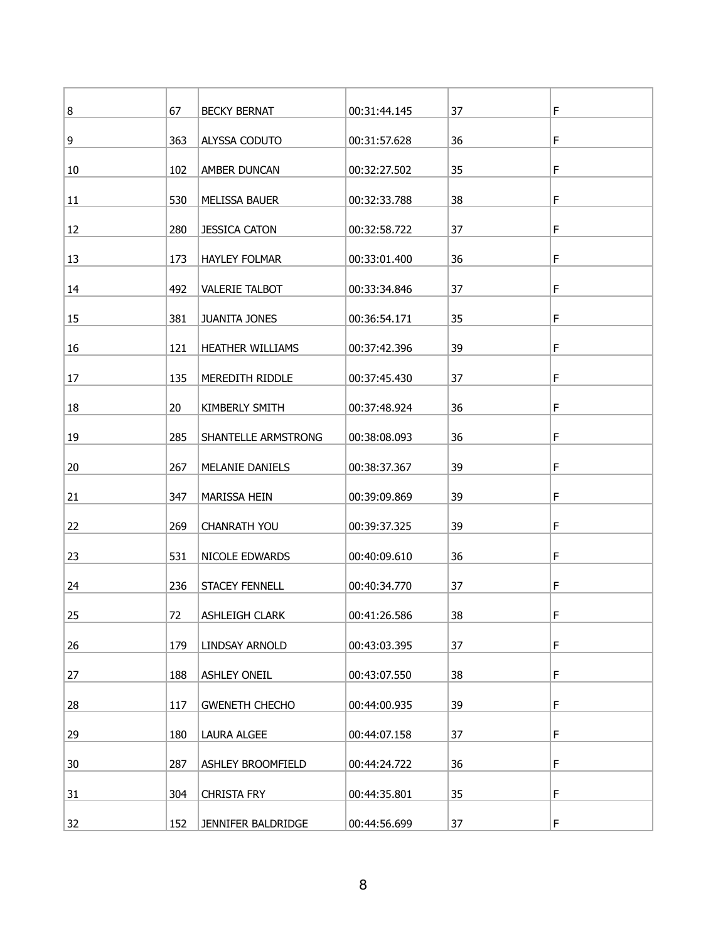| 8  | 67  | <b>BECKY BERNAT</b>   | 00:31:44.145 | 37 | F |
|----|-----|-----------------------|--------------|----|---|
| 9  | 363 | ALYSSA CODUTO         | 00:31:57.628 | 36 | F |
| 10 | 102 | AMBER DUNCAN          | 00:32:27.502 | 35 | F |
| 11 | 530 | MELISSA BAUER         | 00:32:33.788 | 38 | F |
| 12 | 280 | <b>JESSICA CATON</b>  | 00:32:58.722 | 37 | F |
| 13 | 173 | <b>HAYLEY FOLMAR</b>  | 00:33:01.400 | 36 | F |
| 14 | 492 | <b>VALERIE TALBOT</b> | 00:33:34.846 | 37 | F |
|    |     |                       |              |    | F |
| 15 | 381 | <b>JUANITA JONES</b>  | 00:36:54.171 | 35 |   |
| 16 | 121 | HEATHER WILLIAMS      | 00:37:42.396 | 39 | F |
| 17 | 135 | MEREDITH RIDDLE       | 00:37:45.430 | 37 | F |
| 18 | 20  | KIMBERLY SMITH        | 00:37:48.924 | 36 | F |
| 19 | 285 | SHANTELLE ARMSTRONG   | 00:38:08.093 | 36 | F |
| 20 | 267 | MELANIE DANIELS       | 00:38:37.367 | 39 | F |
| 21 | 347 | MARISSA HEIN          | 00:39:09.869 | 39 | F |
| 22 | 269 | <b>CHANRATH YOU</b>   | 00:39:37.325 | 39 | F |
| 23 | 531 | NICOLE EDWARDS        | 00:40:09.610 | 36 | F |
| 24 | 236 | <b>STACEY FENNELL</b> | 00:40:34.770 | 37 | F |
| 25 | 72  | <b>ASHLEIGH CLARK</b> | 00:41:26.586 | 38 | F |
| 26 | 179 | LINDSAY ARNOLD        | 00:43:03.395 | 37 | F |
| 27 | 188 | <b>ASHLEY ONEIL</b>   | 00:43:07.550 | 38 | F |
|    |     |                       |              |    |   |
| 28 | 117 | <b>GWENETH CHECHO</b> | 00:44:00.935 | 39 | F |
| 29 | 180 | <b>LAURA ALGEE</b>    | 00:44:07.158 | 37 | F |
| 30 | 287 | ASHLEY BROOMFIELD     | 00:44:24.722 | 36 | F |
| 31 | 304 | <b>CHRISTA FRY</b>    | 00:44:35.801 | 35 | F |
| 32 | 152 | JENNIFER BALDRIDGE    | 00:44:56.699 | 37 | F |
|    |     |                       |              |    |   |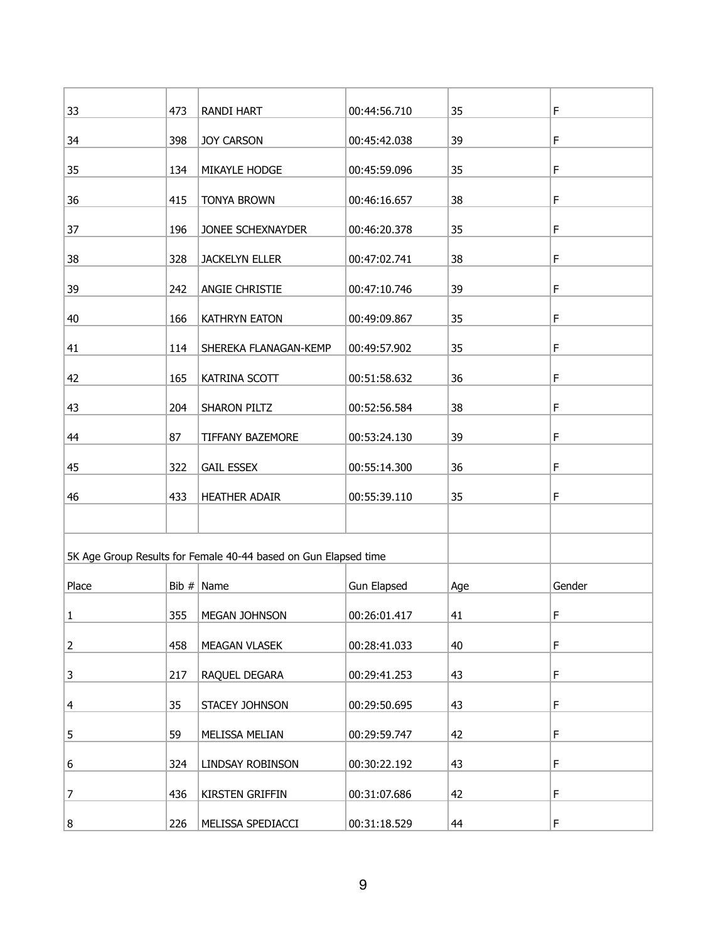| 33          | 473 | <b>RANDI HART</b>                                               | 00:44:56.710       | 35  | F      |
|-------------|-----|-----------------------------------------------------------------|--------------------|-----|--------|
| 34          | 398 | <b>JOY CARSON</b>                                               | 00:45:42.038       | 39  | F      |
| 35          | 134 | MIKAYLE HODGE                                                   | 00:45:59.096       | 35  | F      |
| 36          | 415 | <b>TONYA BROWN</b>                                              | 00:46:16.657       | 38  | F      |
| 37          | 196 | JONEE SCHEXNAYDER                                               | 00:46:20.378       | 35  | F      |
| 38          | 328 | <b>JACKELYN ELLER</b>                                           | 00:47:02.741       | 38  | F      |
| 39          | 242 | ANGIE CHRISTIE                                                  | 00:47:10.746       | 39  | F      |
| 40          | 166 | KATHRYN EATON                                                   | 00:49:09.867       | 35  | F      |
| 41          | 114 | SHEREKA FLANAGAN-KEMP                                           | 00:49:57.902       | 35  | F      |
| 42          | 165 | KATRINA SCOTT                                                   | 00:51:58.632       | 36  | F      |
| 43          | 204 | SHARON PILTZ                                                    | 00:52:56.584       | 38  | F      |
| 44          | 87  | TIFFANY BAZEMORE                                                | 00:53:24.130       | 39  | F      |
| 45          | 322 | <b>GAIL ESSEX</b>                                               | 00:55:14.300       | 36  | F      |
| 46          | 433 | <b>HEATHER ADAIR</b>                                            | 00:55:39.110       | 35  | F      |
|             |     |                                                                 |                    |     |        |
|             |     | 5K Age Group Results for Female 40-44 based on Gun Elapsed time |                    |     |        |
| Place       |     | Bib $#$ Name                                                    | <b>Gun Elapsed</b> | Age | Gender |
| 1           | 355 | MEGAN JOHNSON                                                   | 00:26:01.417       | 41  | F      |
| $\mathbf 2$ | 458 | MEAGAN VLASEK                                                   | 00:28:41.033       | 40  | F      |
| 3           | 217 | RAQUEL DEGARA                                                   | 00:29:41.253       | 43  | F      |
| 4           | 35  | STACEY JOHNSON                                                  | 00:29:50.695       | 43  | F      |
| 5           | 59  | MELISSA MELIAN                                                  | 00:29:59.747       | 42  | F      |
| 6           | 324 | LINDSAY ROBINSON                                                | 00:30:22.192       | 43  | F      |
| 7           | 436 | KIRSTEN GRIFFIN                                                 | 00:31:07.686       | 42  | F      |
| 8           | 226 | MELISSA SPEDIACCI                                               | 00:31:18.529       | 44  | F      |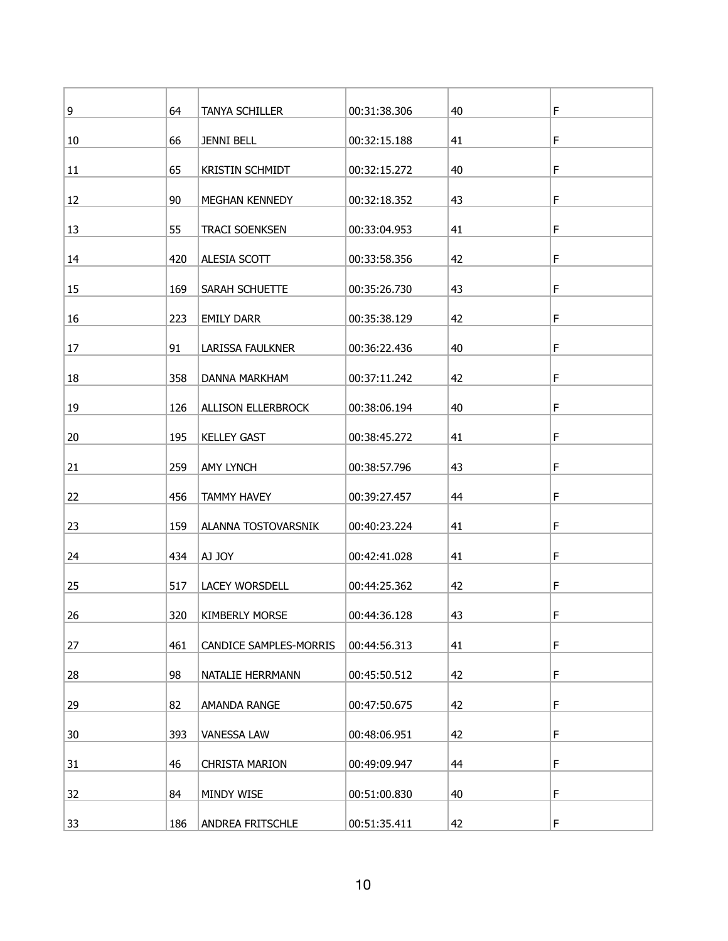| 9  | 64  | TANYA SCHILLER         | 00:31:38.306 | 40 | F |
|----|-----|------------------------|--------------|----|---|
| 10 | 66  | <b>JENNI BELL</b>      | 00:32:15.188 | 41 | F |
| 11 | 65  | <b>KRISTIN SCHMIDT</b> | 00:32:15.272 | 40 | F |
| 12 | 90  | MEGHAN KENNEDY         | 00:32:18.352 | 43 | F |
| 13 | 55  | <b>TRACI SOENKSEN</b>  | 00:33:04.953 | 41 | F |
| 14 | 420 | ALESIA SCOTT           | 00:33:58.356 | 42 | F |
| 15 | 169 | SARAH SCHUETTE         | 00:35:26.730 | 43 | F |
| 16 | 223 | <b>EMILY DARR</b>      | 00:35:38.129 | 42 | F |
| 17 | 91  | LARISSA FAULKNER       | 00:36:22.436 | 40 | F |
| 18 | 358 | DANNA MARKHAM          | 00:37:11.242 | 42 | F |
| 19 | 126 | ALLISON ELLERBROCK     | 00:38:06.194 | 40 | F |
| 20 | 195 | <b>KELLEY GAST</b>     | 00:38:45.272 | 41 | F |
| 21 | 259 | <b>AMY LYNCH</b>       | 00:38:57.796 | 43 | F |
| 22 | 456 | <b>TAMMY HAVEY</b>     | 00:39:27.457 | 44 | F |
| 23 | 159 | ALANNA TOSTOVARSNIK    | 00:40:23.224 | 41 | F |
| 24 | 434 | AJ JOY                 | 00:42:41.028 | 41 | F |
| 25 | 517 | LACEY WORSDELL         | 00:44:25.362 | 42 | F |
| 26 | 320 | <b>KIMBERLY MORSE</b>  | 00:44:36.128 | 43 | F |
| 27 | 461 | CANDICE SAMPLES-MORRIS | 00:44:56.313 | 41 | F |
| 28 | 98  | NATALIE HERRMANN       | 00:45:50.512 | 42 | F |
| 29 | 82  | AMANDA RANGE           | 00:47:50.675 | 42 | F |
| 30 | 393 | <b>VANESSA LAW</b>     | 00:48:06.951 | 42 | F |
| 31 | 46  | <b>CHRISTA MARION</b>  | 00:49:09.947 | 44 | F |
| 32 | 84  | MINDY WISE             | 00:51:00.830 | 40 | F |
| 33 | 186 | ANDREA FRITSCHLE       | 00:51:35.411 | 42 | F |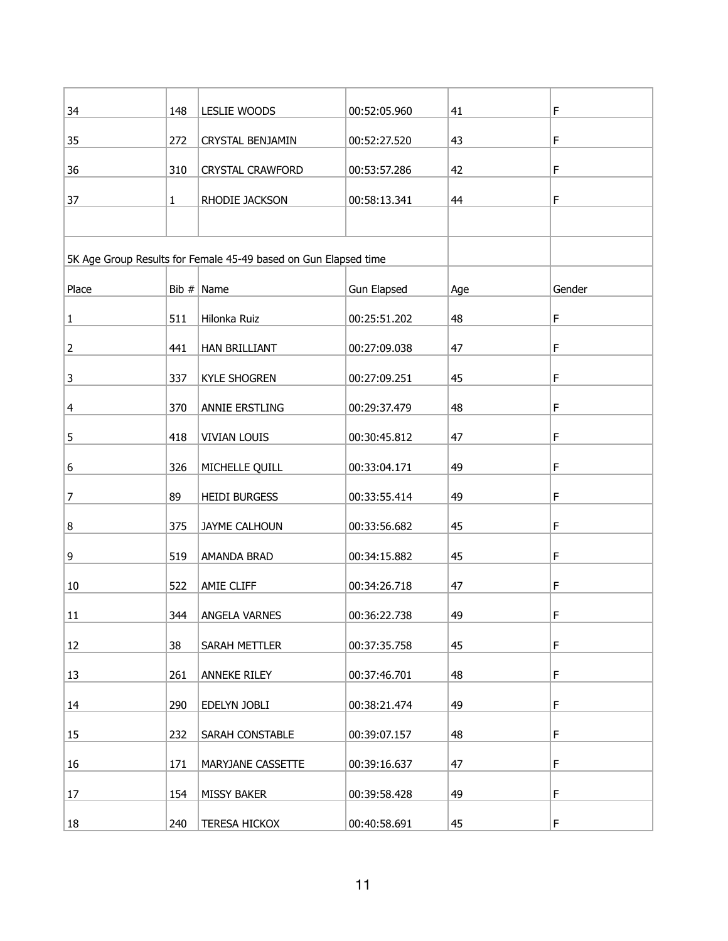| 34             | 148          | LESLIE WOODS                                                    | 00:52:05.960       | 41  | F      |
|----------------|--------------|-----------------------------------------------------------------|--------------------|-----|--------|
| 35             | 272          | <b>CRYSTAL BENJAMIN</b>                                         | 00:52:27.520       | 43  | F      |
| 36             | 310          | <b>CRYSTAL CRAWFORD</b>                                         | 00:53:57.286       | 42  | F      |
| 37             | $\mathbf{1}$ | RHODIE JACKSON                                                  | 00:58:13.341       | 44  | F      |
|                |              |                                                                 |                    |     |        |
|                |              | 5K Age Group Results for Female 45-49 based on Gun Elapsed time |                    |     |        |
| Place          |              | Bib $# \nparallel$ Name                                         | <b>Gun Elapsed</b> | Age | Gender |
| $\mathbf{1}$   | 511          | Hilonka Ruiz                                                    | 00:25:51.202       | 48  | F      |
| $\overline{2}$ | 441          | HAN BRILLIANT                                                   | 00:27:09.038       | 47  | F      |
| 3              | 337          | <b>KYLE SHOGREN</b>                                             | 00:27:09.251       | 45  | F      |
| 4              | 370          | ANNIE ERSTLING                                                  | 00:29:37.479       | 48  | F      |
| 5              | 418          | <b>VIVIAN LOUIS</b>                                             | 00:30:45.812       | 47  | F      |
| 6              | 326          | MICHELLE QUILL                                                  | 00:33:04.171       | 49  | F      |
| 7              | 89           | <b>HEIDI BURGESS</b>                                            | 00:33:55.414       | 49  | F      |
| 8              | 375          | JAYME CALHOUN                                                   | 00:33:56.682       | 45  | F      |
| 9              | 519          | AMANDA BRAD                                                     | 00:34:15.882       | 45  | F      |
| 10             | 522          | AMIE CLIFF                                                      | 00:34:26.718       | 47  | F      |
| 11             | 344          | ANGELA VARNES                                                   | 00:36:22.738       | 49  | F      |
| 12             | 38           | SARAH METTLER                                                   | 00:37:35.758       | 45  | F      |
| 13             | 261          | <b>ANNEKE RILEY</b>                                             | 00:37:46.701       | 48  | F      |
| 14             | 290          | EDELYN JOBLI                                                    | 00:38:21.474       | 49  | F      |
| 15             | 232          | SARAH CONSTABLE                                                 | 00:39:07.157       | 48  | F      |
| 16             | 171          | MARYJANE CASSETTE                                               | 00:39:16.637       | 47  | F      |
| 17             | 154          | <b>MISSY BAKER</b>                                              | 00:39:58.428       | 49  | F      |
| 18             | 240          | <b>TERESA HICKOX</b>                                            | 00:40:58.691       | 45  | F      |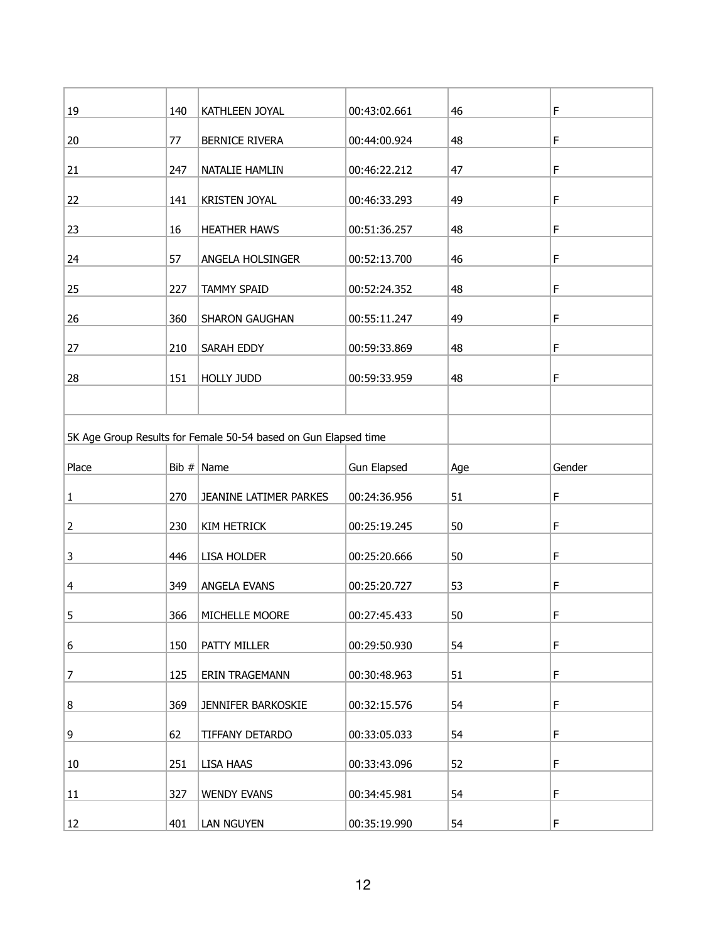| 19    | 140 | KATHLEEN JOYAL                                                  | 00:43:02.661       | 46  | F      |
|-------|-----|-----------------------------------------------------------------|--------------------|-----|--------|
| 20    | 77  | <b>BERNICE RIVERA</b>                                           | 00:44:00.924       | 48  | F      |
| 21    | 247 | NATALIE HAMLIN                                                  | 00:46:22.212       | 47  | F      |
| 22    | 141 | <b>KRISTEN JOYAL</b>                                            | 00:46:33.293       | 49  | F      |
| 23    | 16  | <b>HEATHER HAWS</b>                                             | 00:51:36.257       | 48  | F      |
|       |     |                                                                 |                    |     |        |
| 24    | 57  | ANGELA HOLSINGER                                                | 00:52:13.700       | 46  | F      |
| 25    | 227 | <b>TAMMY SPAID</b>                                              | 00:52:24.352       | 48  | F      |
| 26    | 360 | SHARON GAUGHAN                                                  | 00:55:11.247       | 49  | F      |
| 27    | 210 | SARAH EDDY                                                      | 00:59:33.869       | 48  | F      |
| 28    | 151 | <b>HOLLY JUDD</b>                                               | 00:59:33.959       | 48  | F      |
|       |     |                                                                 |                    |     |        |
|       |     | 5K Age Group Results for Female 50-54 based on Gun Elapsed time |                    |     |        |
|       |     |                                                                 |                    |     |        |
|       |     |                                                                 |                    |     |        |
| Place |     | Bib $#$ Name                                                    | <b>Gun Elapsed</b> | Age | Gender |
| 1     | 270 | JEANINE LATIMER PARKES                                          | 00:24:36.956       | 51  | F      |
| 2     | 230 | <b>KIM HETRICK</b>                                              | 00:25:19.245       | 50  | F      |
| 3     | 446 | <b>LISA HOLDER</b>                                              | 00:25:20.666       | 50  | F      |
|       | 349 |                                                                 |                    |     | F      |
| 4     |     | ANGELA EVANS                                                    | 00:25:20.727       | 53  |        |
| 5     | 366 | MICHELLE MOORE                                                  | 00:27:45.433       | 50  | F      |
| 6     | 150 | PATTY MILLER                                                    | 00:29:50.930       | 54  | F      |
| 7     | 125 | <b>ERIN TRAGEMANN</b>                                           | 00:30:48.963       | 51  | F      |
| 8     | 369 | JENNIFER BARKOSKIE                                              | 00:32:15.576       | 54  | F      |
| 9     | 62  | TIFFANY DETARDO                                                 | 00:33:05.033       | 54  | F      |
| 10    | 251 | LISA HAAS                                                       | 00:33:43.096       | 52  | F      |
| 11    | 327 | <b>WENDY EVANS</b>                                              | 00:34:45.981       | 54  | F      |
| 12    | 401 | LAN NGUYEN                                                      | 00:35:19.990       | 54  | F      |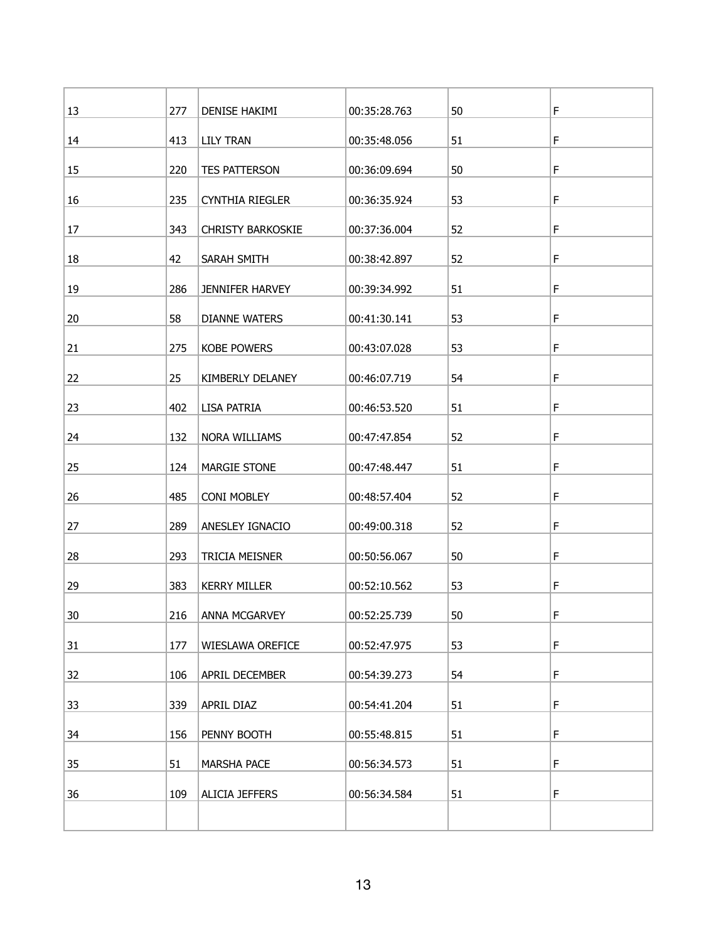| 13 | 277 | DENISE HAKIMI            | 00:35:28.763 | 50 | F |
|----|-----|--------------------------|--------------|----|---|
| 14 | 413 | <b>LILY TRAN</b>         | 00:35:48.056 | 51 | F |
| 15 | 220 | TES PATTERSON            | 00:36:09.694 | 50 | F |
| 16 | 235 | CYNTHIA RIEGLER          | 00:36:35.924 | 53 | F |
| 17 | 343 | <b>CHRISTY BARKOSKIE</b> | 00:37:36.004 | 52 | F |
| 18 | 42  | SARAH SMITH              | 00:38:42.897 | 52 | F |
| 19 | 286 | JENNIFER HARVEY          | 00:39:34.992 | 51 | F |
| 20 | 58  | <b>DIANNE WATERS</b>     | 00:41:30.141 | 53 | F |
| 21 | 275 | <b>KOBE POWERS</b>       | 00:43:07.028 | 53 | F |
| 22 | 25  | KIMBERLY DELANEY         | 00:46:07.719 | 54 | F |
| 23 | 402 | LISA PATRIA              | 00:46:53.520 | 51 | F |
| 24 | 132 | NORA WILLIAMS            | 00:47:47.854 | 52 | F |
| 25 | 124 | <b>MARGIE STONE</b>      | 00:47:48.447 | 51 | F |
| 26 | 485 | <b>CONI MOBLEY</b>       | 00:48:57.404 | 52 | F |
| 27 | 289 | ANESLEY IGNACIO          | 00:49:00.318 | 52 | F |
| 28 | 293 | TRICIA MEISNER           | 00:50:56.067 | 50 | F |
| 29 | 383 | <b>KERRY MILLER</b>      | 00:52:10.562 | 53 | F |
| 30 | 216 | ANNA MCGARVEY            | 00:52:25.739 | 50 | F |
| 31 | 177 | WIESLAWA OREFICE         | 00:52:47.975 | 53 | F |
| 32 | 106 | APRIL DECEMBER           | 00:54:39.273 | 54 | F |
| 33 | 339 | APRIL DIAZ               | 00:54:41.204 | 51 | F |
| 34 | 156 | PENNY BOOTH              | 00:55:48.815 | 51 | F |
| 35 | 51  | MARSHA PACE              | 00:56:34.573 | 51 | F |
| 36 | 109 | <b>ALICIA JEFFERS</b>    | 00:56:34.584 | 51 | F |
|    |     |                          |              |    |   |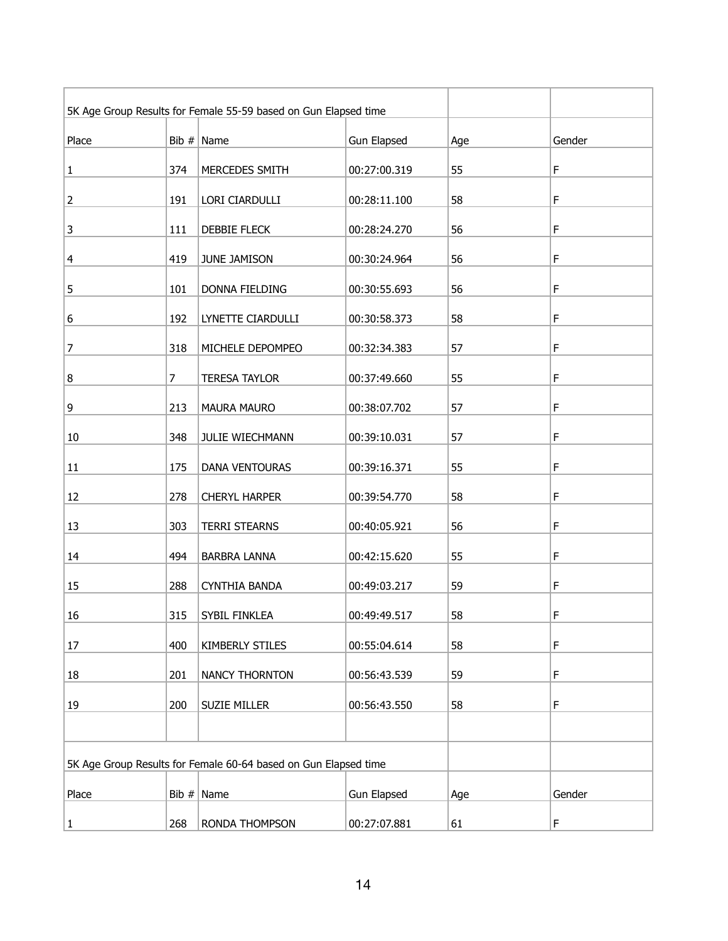| 5K Age Group Results for Female 55-59 based on Gun Elapsed time |         |                      |                    |     |        |
|-----------------------------------------------------------------|---------|----------------------|--------------------|-----|--------|
| Place                                                           |         | Bib $#$ Name         | <b>Gun Elapsed</b> | Age | Gender |
| $\mathbf{1}$                                                    | 374     | MERCEDES SMITH       | 00:27:00.319       | 55  | F      |
| $\overline{2}$                                                  | 191     | LORI CIARDULLI       | 00:28:11.100       | 58  | F      |
| 3                                                               | 111     | DEBBIE FLECK         | 00:28:24.270       | 56  | F      |
| 4                                                               | 419     | JUNE JAMISON         | 00:30:24.964       | 56  | F      |
| 5                                                               | 101     | DONNA FIELDING       | 00:30:55.693       | 56  | F      |
| 6                                                               | 192     | LYNETTE CIARDULLI    | 00:30:58.373       | 58  | F      |
| 7                                                               | 318     | MICHELE DEPOMPEO     | 00:32:34.383       | 57  | F      |
| 8                                                               | 7       | <b>TERESA TAYLOR</b> | 00:37:49.660       | 55  | F      |
| 9                                                               | 213     | MAURA MAURO          | 00:38:07.702       | 57  | F      |
| 10                                                              | 348     | JULIE WIECHMANN      | 00:39:10.031       | 57  | F      |
| 11                                                              | 175     | DANA VENTOURAS       | 00:39:16.371       | 55  | F      |
| 12                                                              | 278     | <b>CHERYL HARPER</b> | 00:39:54.770       | 58  | F      |
| 13                                                              | 303     | <b>TERRI STEARNS</b> | 00:40:05.921       | 56  | F      |
| 14                                                              | 494     | <b>BARBRA LANNA</b>  | 00:42:15.620       | 55  | F      |
| 15                                                              | 288     | <b>CYNTHIA BANDA</b> | 00:49:03.217       | 59  | F      |
| 16                                                              | 315     | SYBIL FINKLEA        | 00:49:49.517       | 58  | F      |
| 17                                                              | 400     | KIMBERLY STILES      | 00:55:04.614       | 58  | F      |
| 18                                                              | 201     | NANCY THORNTON       | 00:56:43.539       | 59  | F      |
| 19                                                              | 200     | <b>SUZIE MILLER</b>  | 00:56:43.550       | 58  | F      |
|                                                                 |         |                      |                    |     |        |
| 5K Age Group Results for Female 60-64 based on Gun Elapsed time |         |                      |                    |     |        |
| Place                                                           | Bib $#$ | Name                 | <b>Gun Elapsed</b> | Age | Gender |
| $\mathbf{1}$                                                    | 268     | RONDA THOMPSON       | 00:27:07.881       | 61  | F      |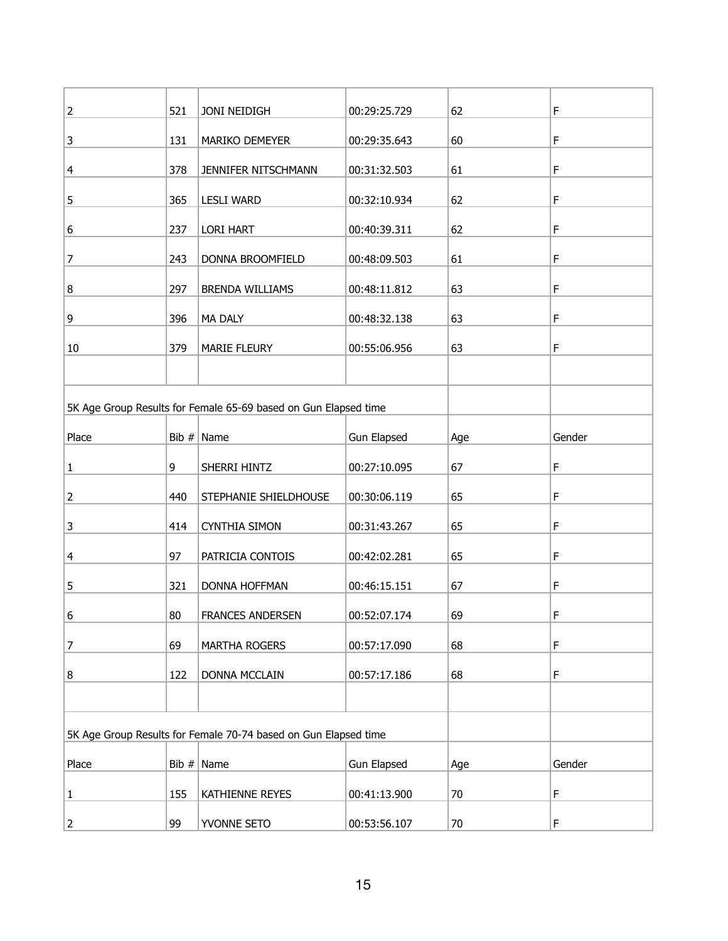| $\overline{2}$ | 521   | JONI NEIDIGH                                                    | 00:29:25.729       | 62     | F      |
|----------------|-------|-----------------------------------------------------------------|--------------------|--------|--------|
| 3              | 131   | MARIKO DEMEYER                                                  | 00:29:35.643       | 60     | F      |
| 4              | 378   | JENNIFER NITSCHMANN                                             | 00:31:32.503       | 61     | F      |
| 5              | 365   | <b>LESLI WARD</b>                                               | 00:32:10.934       | 62     | F      |
| 6              | 237   | <b>LORI HART</b>                                                | 00:40:39.311       | 62     | F      |
| 7              | 243   | DONNA BROOMFIELD                                                | 00:48:09.503       | 61     | F      |
| 8              | 297   | BRENDA WILLIAMS                                                 | 00:48:11.812       | 63     | F      |
| 9              | 396   | MA DALY                                                         | 00:48:32.138       | 63     | F      |
| 10             | 379   | <b>MARIE FLEURY</b>                                             | 00:55:06.956       | 63     | F      |
|                |       |                                                                 |                    |        |        |
|                |       | 5K Age Group Results for Female 65-69 based on Gun Elapsed time |                    |        |        |
|                |       |                                                                 |                    |        |        |
| Place          |       | Bib $#$ Name                                                    | <b>Gun Elapsed</b> | Age    | Gender |
| 1              | 9     | SHERRI HINTZ                                                    | 00:27:10.095       | 67     | F      |
| 2              | 440   | STEPHANIE SHIELDHOUSE                                           | 00:30:06.119       | 65     | F      |
| 3              | 414   | <b>CYNTHIA SIMON</b>                                            | 00:31:43.267       | 65     | F      |
| 4              | 97    | PATRICIA CONTOIS                                                | 00:42:02.281       | 65     | F      |
| 5              | 321   | <b>DONNA HOFFMAN</b>                                            | 00:46:15.151       | 67     | F      |
| 6              | 80    | <b>FRANCES ANDERSEN</b>                                         | 00:52:07.174       | 69     | F      |
| 7              | 69    | MARTHA ROGERS                                                   | 00:57:17.090       | 68     | F      |
| 8              | 122   | DONNA MCCLAIN                                                   | 00:57:17.186       | 68     | F      |
|                |       |                                                                 |                    |        |        |
|                |       | 5K Age Group Results for Female 70-74 based on Gun Elapsed time |                    |        |        |
| Place          | Bib # | Name                                                            | <b>Gun Elapsed</b> | Age    | Gender |
| $\mathbf 1$    | 155   | KATHIENNE REYES                                                 | 00:41:13.900       | 70     | F      |
| $\overline{2}$ | 99    | YVONNE SETO                                                     | 00:53:56.107       | $70\,$ | F      |
|                |       |                                                                 |                    |        |        |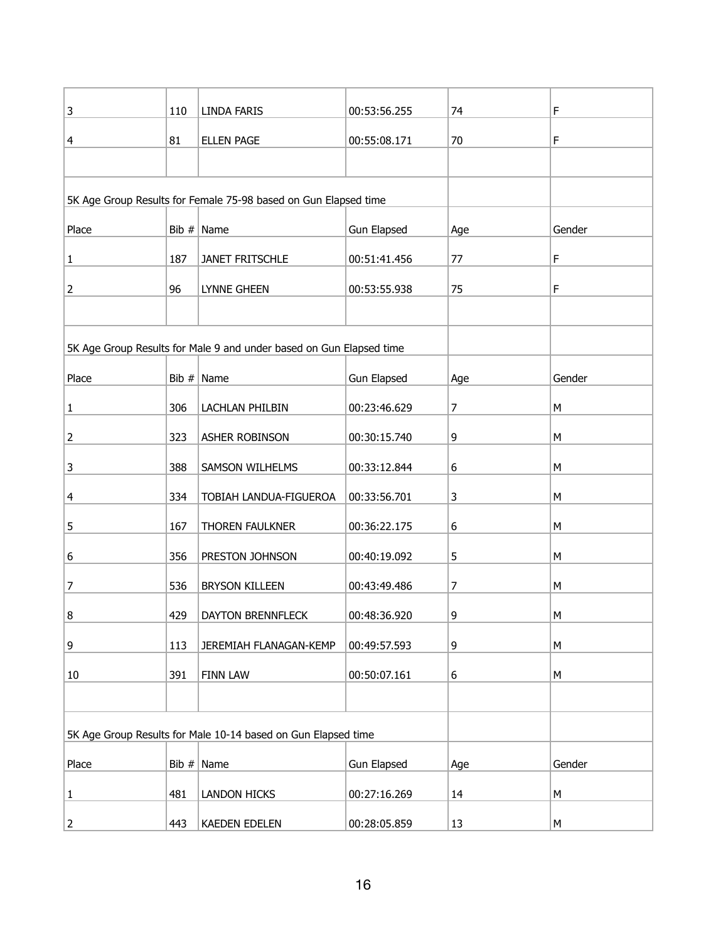| 3              | 110 | LINDA FARIS                                                         | 00:53:56.255       | 74  | F         |
|----------------|-----|---------------------------------------------------------------------|--------------------|-----|-----------|
| 4              | 81  | <b>ELLEN PAGE</b>                                                   | 00:55:08.171       | 70  | F         |
|                |     |                                                                     |                    |     |           |
|                |     | 5K Age Group Results for Female 75-98 based on Gun Elapsed time     |                    |     |           |
| Place          |     | Bib $#$ Name                                                        | Gun Elapsed        | Age | Gender    |
| $\mathbf{1}$   | 187 | JANET FRITSCHLE                                                     | 00:51:41.456       | 77  | F         |
| $\overline{2}$ | 96  | <b>LYNNE GHEEN</b>                                                  | 00:53:55.938       | 75  | F         |
|                |     |                                                                     |                    |     |           |
|                |     | 5K Age Group Results for Male 9 and under based on Gun Elapsed time |                    |     |           |
| Place          |     | Bib $#$ Name                                                        |                    |     | Gender    |
|                |     |                                                                     | <b>Gun Elapsed</b> | Age |           |
| $\mathbf{1}$   | 306 | LACHLAN PHILBIN                                                     | 00:23:46.629       | 7   | М         |
| $\overline{2}$ | 323 | ASHER ROBINSON                                                      | 00:30:15.740       | 9   | M         |
| 3              | 388 | SAMSON WILHELMS                                                     | 00:33:12.844       | 6   | М         |
| 4              | 334 | TOBIAH LANDUA-FIGUEROA                                              | 00:33:56.701       | 3   | M         |
| 5              | 167 | THOREN FAULKNER                                                     | 00:36:22.175       | 6   | М         |
| 6              | 356 | PRESTON JOHNSON                                                     | 00:40:19.092       | 5   | M         |
| 7              | 536 | <b>BRYSON KILLEEN</b>                                               | 00:43:49.486       | 7   | M         |
| 8              | 429 | DAYTON BRENNFLECK                                                   | 00:48:36.920       | 9   | M         |
| 9              | 113 | JEREMIAH FLANAGAN-KEMP                                              | 00:49:57.593       | 9   | М         |
| 10             | 391 | <b>FINN LAW</b>                                                     | 00:50:07.161       | 6   | М         |
|                |     |                                                                     |                    |     |           |
|                |     | 5K Age Group Results for Male 10-14 based on Gun Elapsed time       |                    |     |           |
| Place          |     | Bib $#$ Name                                                        | <b>Gun Elapsed</b> | Age | Gender    |
| $\mathbf{1}$   | 481 | <b>LANDON HICKS</b>                                                 | 00:27:16.269       | 14  | М         |
| $\overline{2}$ | 443 | KAEDEN EDELEN                                                       | 00:28:05.859       | 13  | ${\sf M}$ |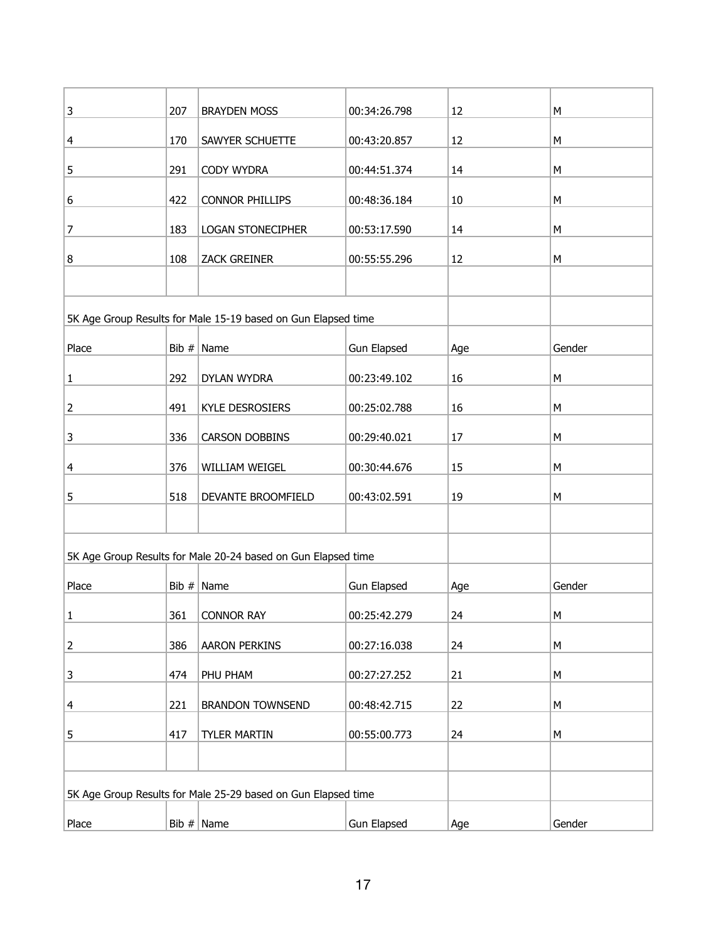| $\mathbf{3}$   | 207     | <b>BRAYDEN MOSS</b>                                           | 00:34:26.798       | 12  | M      |
|----------------|---------|---------------------------------------------------------------|--------------------|-----|--------|
| 4              | 170     | SAWYER SCHUETTE                                               | 00:43:20.857       | 12  | М      |
| 5              | 291     | CODY WYDRA                                                    | 00:44:51.374       | 14  | M      |
| 6              | 422     | <b>CONNOR PHILLIPS</b>                                        | 00:48:36.184       | 10  | M      |
| 7              | 183     | <b>LOGAN STONECIPHER</b>                                      | 00:53:17.590       | 14  | M      |
| 8              | 108     | <b>ZACK GREINER</b>                                           | 00:55:55.296       | 12  | M      |
|                |         |                                                               |                    |     |        |
|                |         | 5K Age Group Results for Male 15-19 based on Gun Elapsed time |                    |     |        |
| Place          | Bib #   | Name                                                          | <b>Gun Elapsed</b> | Age | Gender |
| $\mathbf{1}$   | 292     | DYLAN WYDRA                                                   | 00:23:49.102       | 16  | M      |
| $\overline{2}$ | 491     | <b>KYLE DESROSIERS</b>                                        | 00:25:02.788       | 16  | M      |
| 3              | 336     | <b>CARSON DOBBINS</b>                                         | 00:29:40.021       | 17  | M      |
| 4              | 376     | WILLIAM WEIGEL                                                | 00:30:44.676       | 15  | M      |
| 5              | 518     | DEVANTE BROOMFIELD                                            | 00:43:02.591       | 19  | М      |
|                |         |                                                               |                    |     |        |
|                |         | 5K Age Group Results for Male 20-24 based on Gun Elapsed time |                    |     |        |
| Place          | Bib $#$ | Name                                                          | <b>Gun Elapsed</b> | Age | Gender |
| $\mathbf{1}$   | 361     | <b>CONNOR RAY</b>                                             | 00:25:42.279       | 24  | М      |
| $\overline{2}$ | 386     | <b>AARON PERKINS</b>                                          | 00:27:16.038       | 24  | M      |
| 3              | 474     | PHU PHAM                                                      | 00:27:27.252       | 21  | M      |
| 4              | 221     | <b>BRANDON TOWNSEND</b>                                       | 00:48:42.715       | 22  | M      |
| 5              | 417     | <b>TYLER MARTIN</b>                                           | 00:55:00.773       | 24  | M      |
|                |         |                                                               |                    |     |        |
|                |         | 5K Age Group Results for Male 25-29 based on Gun Elapsed time |                    |     |        |
|                |         |                                                               |                    |     |        |
| Place          |         | Bib $#$ Name                                                  | <b>Gun Elapsed</b> | Age | Gender |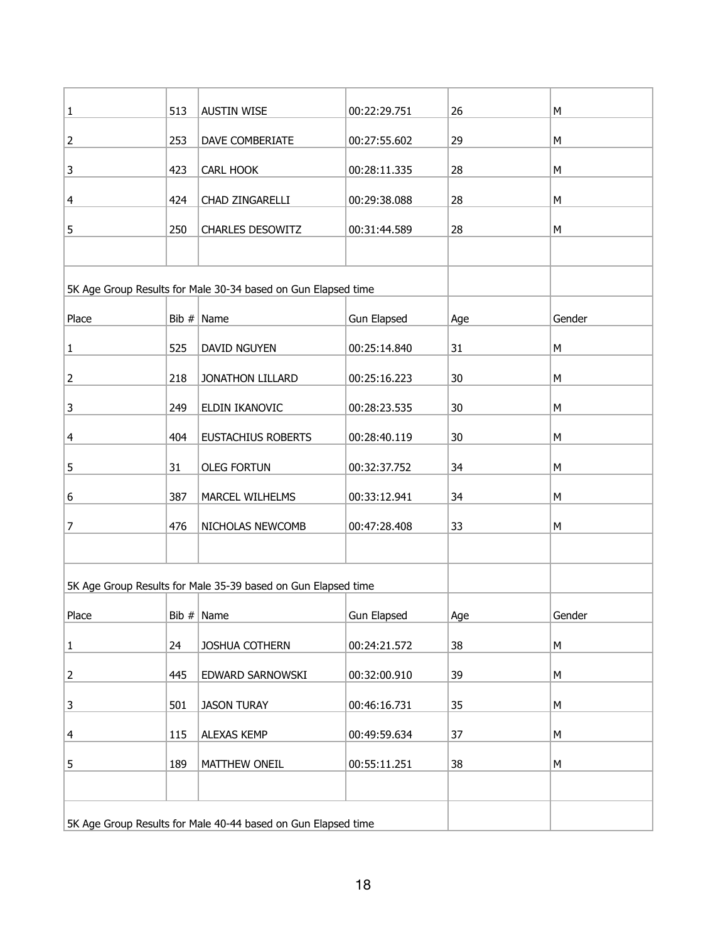| $\mathbf{1}$   | 513 | <b>AUSTIN WISE</b>                                            | 00:22:29.751       | 26  | M      |
|----------------|-----|---------------------------------------------------------------|--------------------|-----|--------|
| $\overline{2}$ | 253 | DAVE COMBERIATE                                               | 00:27:55.602       | 29  | M      |
| 3              | 423 | CARL HOOK                                                     | 00:28:11.335       | 28  | M      |
| 4              | 424 | CHAD ZINGARELLI                                               | 00:29:38.088       | 28  | М      |
| 5              | 250 | <b>CHARLES DESOWITZ</b>                                       | 00:31:44.589       | 28  | M      |
|                |     |                                                               |                    |     |        |
|                |     | 5K Age Group Results for Male 30-34 based on Gun Elapsed time |                    |     |        |
| Place          |     | Bib $#$ Name                                                  | <b>Gun Elapsed</b> | Age | Gender |
| $\mathbf{1}$   | 525 | DAVID NGUYEN                                                  | 00:25:14.840       | 31  | М      |
| $\overline{2}$ | 218 | JONATHON LILLARD                                              | 00:25:16.223       | 30  | M      |
| $\mathbf{3}$   | 249 | ELDIN IKANOVIC                                                | 00:28:23.535       | 30  | M      |
| $\overline{4}$ | 404 | <b>EUSTACHIUS ROBERTS</b>                                     | 00:28:40.119       | 30  | M      |
| 5              | 31  | <b>OLEG FORTUN</b>                                            | 00:32:37.752       | 34  | M      |
| 6              | 387 | MARCEL WILHELMS                                               | 00:33:12.941       | 34  | M      |
| $\overline{7}$ | 476 | NICHOLAS NEWCOMB                                              | 00:47:28.408       | 33  | М      |
|                |     |                                                               |                    |     |        |
|                |     | 5K Age Group Results for Male 35-39 based on Gun Elapsed time |                    |     |        |
| Place          |     | Bib $#$ Name                                                  | Gun Elapsed        | Age | Gender |
| $\mathbf{1}$   | 24  | JOSHUA COTHERN                                                | 00:24:21.572       | 38  | M      |
| $\overline{2}$ | 445 | EDWARD SARNOWSKI                                              | 00:32:00.910       | 39  | М      |
| 3              | 501 | <b>JASON TURAY</b>                                            | 00:46:16.731       | 35  | М      |
| 4              | 115 | <b>ALEXAS KEMP</b>                                            | 00:49:59.634       | 37  | М      |
| 5              | 189 | MATTHEW ONEIL                                                 | 00:55:11.251       | 38  | М      |
|                |     |                                                               |                    |     |        |
|                |     | 5K Age Group Results for Male 40-44 based on Gun Elapsed time |                    |     |        |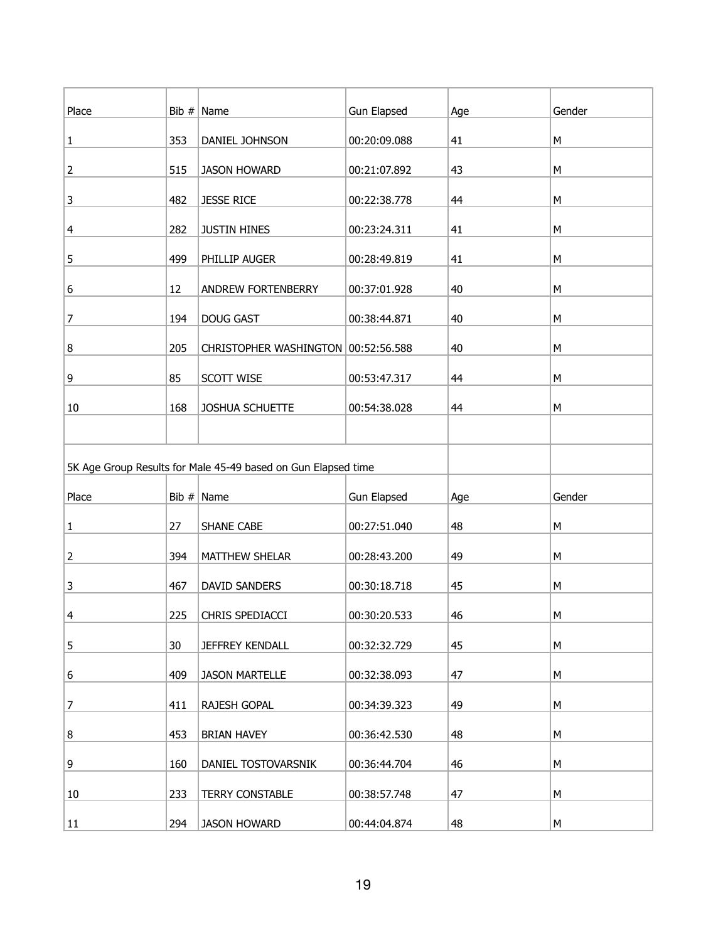| Place |     | Bib $#$ Name                                                  | <b>Gun Elapsed</b> | Age | Gender |
|-------|-----|---------------------------------------------------------------|--------------------|-----|--------|
| 1     | 353 | DANIEL JOHNSON                                                | 00:20:09.088       | 41  | M      |
| 2     | 515 | <b>JASON HOWARD</b>                                           | 00:21:07.892       | 43  | М      |
| 3     | 482 | <b>JESSE RICE</b>                                             | 00:22:38.778       | 44  | M      |
| 4     | 282 | <b>JUSTIN HINES</b>                                           | 00:23:24.311       | 41  | M      |
| 5     | 499 | PHILLIP AUGER                                                 | 00:28:49.819       | 41  | M      |
| 6     | 12  | ANDREW FORTENBERRY                                            | 00:37:01.928       | 40  | M      |
| 7     | 194 | <b>DOUG GAST</b>                                              | 00:38:44.871       | 40  | М      |
| 8     | 205 | CHRISTOPHER WASHINGTON   00:52:56.588                         |                    | 40  | M      |
| 9     | 85  | SCOTT WISE                                                    | 00:53:47.317       | 44  | M      |
| 10    | 168 | JOSHUA SCHUETTE                                               | 00:54:38.028       | 44  | M      |
|       |     |                                                               |                    |     |        |
|       |     | 5K Age Group Results for Male 45-49 based on Gun Elapsed time |                    |     |        |
| Place |     | Bib $#$ Name                                                  | <b>Gun Elapsed</b> | Age | Gender |
| 1     | 27  | SHANE CABE                                                    | 00:27:51.040       | 48  | М      |
| 2     | 394 | MATTHEW SHELAR                                                | 00:28:43.200       | 49  | M      |
| 3     | 467 | DAVID SANDERS                                                 | 00:30:18.718       | 45  | M      |
| 4     | 225 | CHRIS SPEDIACCI                                               | 00:30:20.533       | 46  | M      |
| 5     | 30  | <b>JEFFREY KENDALL</b>                                        | 00:32:32.729       | 45  | M      |
| 6     | 409 | <b>JASON MARTELLE</b>                                         | 00:32:38.093       | 47  | М      |
| 7     | 411 | RAJESH GOPAL                                                  | 00:34:39.323       | 49  | M      |
| 8     | 453 | <b>BRIAN HAVEY</b>                                            | 00:36:42.530       | 48  | M      |
| 9     | 160 | DANIEL TOSTOVARSNIK                                           | 00:36:44.704       | 46  | M      |
| 10    | 233 | <b>TERRY CONSTABLE</b>                                        | 00:38:57.748       | 47  | M      |
| 11    | 294 | <b>JASON HOWARD</b>                                           | 00:44:04.874       | 48  | M      |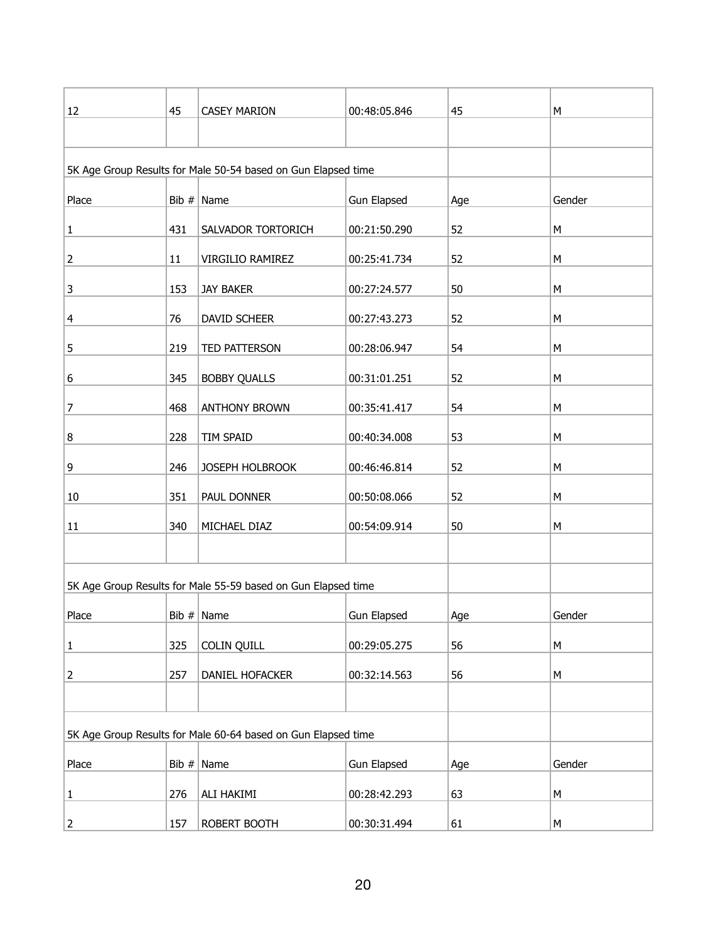| 12             | 45  | <b>CASEY MARION</b>                                           | 00:48:05.846       | 45  | М      |
|----------------|-----|---------------------------------------------------------------|--------------------|-----|--------|
|                |     |                                                               |                    |     |        |
|                |     | 5K Age Group Results for Male 50-54 based on Gun Elapsed time |                    |     |        |
|                |     |                                                               |                    |     |        |
| Place          |     | Bib $#$ Name                                                  | <b>Gun Elapsed</b> | Age | Gender |
| $\mathbf 1$    | 431 | SALVADOR TORTORICH                                            | 00:21:50.290       | 52  | М      |
| $\mathbf 2$    | 11  | VIRGILIO RAMIREZ                                              | 00:25:41.734       | 52  | М      |
| 3              | 153 | JAY BAKER                                                     | 00:27:24.577       | 50  | М      |
| 4              | 76  | DAVID SCHEER                                                  | 00:27:43.273       | 52  | M      |
| 5              | 219 | TED PATTERSON                                                 | 00:28:06.947       | 54  | М      |
| 6              | 345 | <b>BOBBY QUALLS</b>                                           | 00:31:01.251       | 52  | М      |
| $\overline{7}$ | 468 | <b>ANTHONY BROWN</b>                                          | 00:35:41.417       | 54  | M      |
| 8              | 228 | TIM SPAID                                                     | 00:40:34.008       | 53  | М      |
| 9              | 246 | JOSEPH HOLBROOK                                               | 00:46:46.814       | 52  | M      |
| 10             | 351 | PAUL DONNER                                                   | 00:50:08.066       | 52  | M      |
| 11             | 340 | MICHAEL DIAZ                                                  | 00:54:09.914       | 50  | М      |
|                |     |                                                               |                    |     |        |
|                |     | 5K Age Group Results for Male 55-59 based on Gun Elapsed time |                    |     |        |
| Place          |     | Bib $#$ Name                                                  | Gun Elapsed        | Age | Gender |
| $\mathbf{1}$   | 325 | COLIN QUILL                                                   | 00:29:05.275       | 56  | М      |
| $\overline{2}$ | 257 | DANIEL HOFACKER                                               | 00:32:14.563       | 56  | М      |
|                |     |                                                               |                    |     |        |
|                |     | 5K Age Group Results for Male 60-64 based on Gun Elapsed time |                    |     |        |
| Place          |     | Bib $#$ Name                                                  | <b>Gun Elapsed</b> | Age | Gender |
| $\mathbf{1}$   | 276 | ALI HAKIMI                                                    | 00:28:42.293       | 63  | М      |
| $\overline{2}$ | 157 | ROBERT BOOTH                                                  | 00:30:31.494       | 61  | М      |
|                |     |                                                               |                    |     |        |